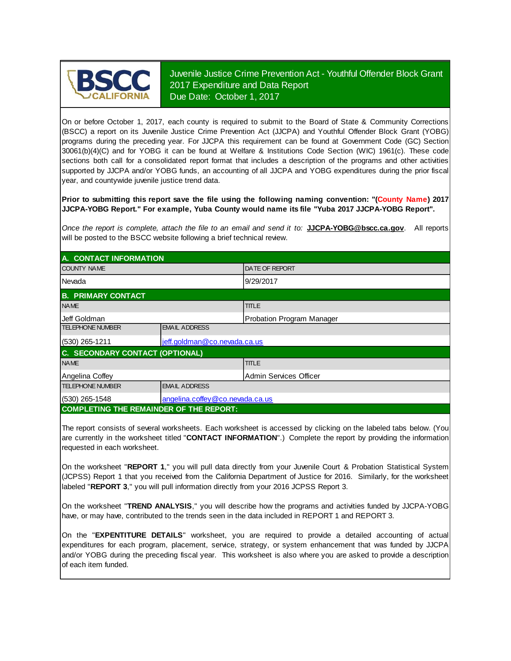

Juvenile Justice Crime Prevention Act - Youthful Offender Block Grant 2017 Expenditure and Data Report Due Date: October 1, 2017

On or before October 1, 2017, each county is required to submit to the Board of State & Community Corrections (BSCC) <sup>a</sup> report on its Juvenile Justice Crime Prevention Act (JJCPA) and Youthful Offender Block Grant (YOBG) programs during the preceding year. For JJCPA this requirement can be found at Government Code (GC) Section 30061(b)(4)(C) and for YOBG it can be found at Welfare & Institutions Code Section (WIC) 1961(c). These code sections both call for <sup>a</sup> consolidated report format that includes <sup>a</sup> description of the programs and other activities supported by JJCPA and/or YOBG funds, an accounting of all JJCPA and YOBG expenditures during the prior fiscal year, and countywide juvenile justice trend data.

**Prior to submitting this report save the file using the following naming convention: "(County Name) 2017 JJCPA-YOBG Report." For example, Yuba County would name its file "Yuba 2017 JJCPA-YOBG Report".**

*Once the report is complete, attach the file t o an email and send it to:* **JJCPA-YOBG@bscc.ca.gov**. All reports will be posted to the BSCC website following a brief technical review.

| A. CONTACT INFORMATION                         |                                 |                           |  |  |  |
|------------------------------------------------|---------------------------------|---------------------------|--|--|--|
| <b>COUNTY NAME</b>                             |                                 | <b>DATE OF REPORT</b>     |  |  |  |
| Nevada                                         |                                 | 9/29/2017                 |  |  |  |
| <b>B. PRIMARY CONTACT</b>                      |                                 |                           |  |  |  |
| <b>NAME</b>                                    |                                 | <b>TITLE</b>              |  |  |  |
| IJeff Goldman                                  |                                 | Probation Program Manager |  |  |  |
| <b>TELEPHONE NUMBER</b>                        | <b>EMAIL ADDRESS</b>            |                           |  |  |  |
| $(530)$ 265-1211                               | jeff.goldman@co.nevada.ca.us    |                           |  |  |  |
| C. SECONDARY CONTACT (OPTIONAL)                |                                 |                           |  |  |  |
| <b>NAME</b>                                    |                                 | <b>TITLE</b>              |  |  |  |
| Angelina Coffey                                |                                 | Admin Services Officer    |  |  |  |
| <b>TELEPHONE NUMBER</b>                        | <b>EMAIL ADDRESS</b>            |                           |  |  |  |
| $(530)$ 265-1548                               | angelina.coffey@co.nevada.ca.us |                           |  |  |  |
| <b>COMPLETING THE REMAINDER OF THE REPORT:</b> |                                 |                           |  |  |  |

The report consists of several worksheets. Each worksheet is accessed by clicking on the labeled tabs below. (You are currently in the worksheet titled "**CONTACT INFORMATION**".) Complete the report by providing the information requested in each worksheet.

On the worksheet "**REPORT 1**, " you will pull data directly from your Juvenile Court & Probation Statistical System (JCPSS) Report 1 that you received from the California Department of Justice for 2016. Similarly, for the worksheet labeled "**REPORT 3**," you will pull information directly from your 2016 JCPSS Report 3.

On the worksheet "**TREND ANALYSIS**, " you will describe how the programs and activities funded by JJCPA-YOBG have, or may have, contributed to the trends seen in the data included in REPORT 1 and REPORT 3.

On the "EXPENTITURE DETAILS" worksheet, you are required to provide a detailed accounting of actual expenditures for each program, placement, service, strategy, or system enhancement that was funded by JJCPA and/or YOBG during the preceding fiscal year. This worksheet is also where you are asked to provide a description of each item funded.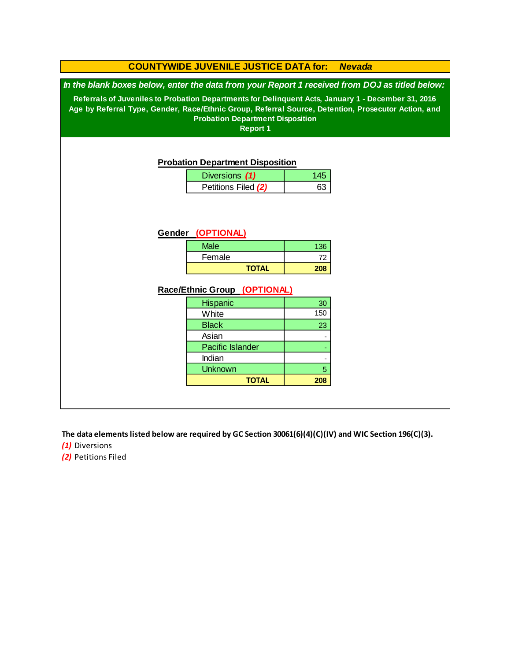#### **Race/Ethnic Group (OPTIONAL)** - 5  **208** Indian **Unknown TOTAL** Asian 72  **208 Hispanic** Pacific Islander Female 30 150 23 - - **COUNTYWIDE JUVENILE JUSTICE DATA for:** *Nevada* **White Black** Diversions *(1)* 145 Petitions Filed (2) | 63 **TOTAL** 136 *In the blank boxes below, enter the data from your Report 1 received from DOJ as titled below:* **Probation Department Disposition Referrals of Juveniles to Probation Departments for Delinquent Acts, January 1 - December 31, 2016 Age by Referral Type, Gender, Race/Ethnic Group, Referral Source, Detention, Prosecutor Action, and Probation Department Disposition Report 1 Gender (OPTIONAL) Male**

**The data elements listed below are required by GC Section 30061(6)(4)(C)(IV) and WIC Section 196(C)(3).**

*(1)* Diversions

*(2)* Petitions Filed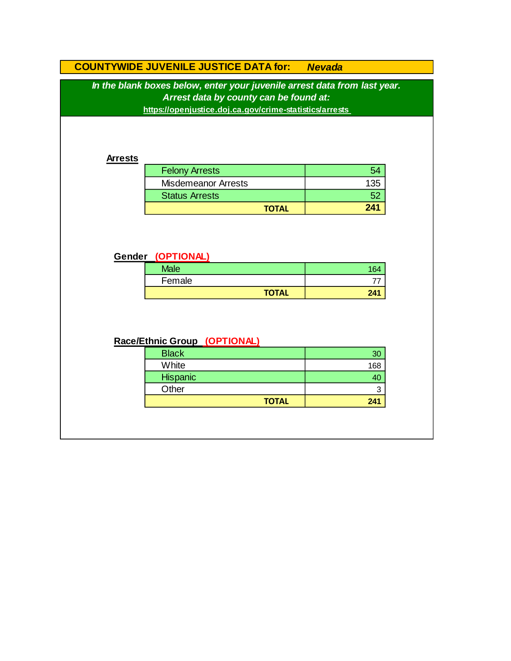# **COUNTYWIDE JUVENILE JUSTICE DATA for:** *Nevada*

*In the blank boxes below, enter your juvenile arrest data from last year. Arrest data by county can be found at:*

**https://openjustice.doj.ca.gov/crime-statistics/arrests** 

#### **Arrests**

| <b>Felony Arrests</b>      |     |
|----------------------------|-----|
| <b>Misdemeanor Arrests</b> | 135 |
| <b>Status Arrests</b>      |     |
| <b>TOTAL</b>               | 241 |

### **Gender (OPTIONAL)**

| <b>Male</b> |              | $\sim$ |
|-------------|--------------|--------|
| Female      |              |        |
|             | <b>TOTAL</b> | 241    |

## **Race/Ethnic Group (OPTIONAL)**

| <b>Black</b>    | 30  |
|-----------------|-----|
| White           | 168 |
| <b>Hispanic</b> |     |
| Other           | 3   |
| <b>TOTAL</b>    | 241 |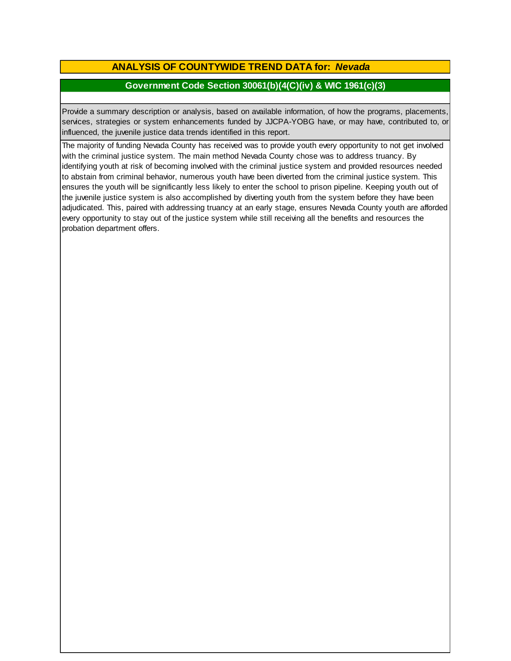## **ANALYSIS OF COUNTYWIDE TREND DATA for:** *Nevada*

### **Government Code Section 30061(b)(4(C)(iv) & WIC 1961(c)(3)**

Provide <sup>a</sup> summary description or analysis, based on available information, of how the programs, placements, services, strategies or system enhancements funded by JJCPA-YOBG have, or may have, contributed to, or influenced, the juvenile justice data trends identified in this report.

The majority of funding Nevada County has received was to provide youth every opportunity to not get involved with the criminal justice system. The main method Nevada County chose was to address truancy. By identifying youth at risk of becoming involved with the criminal justice system and provided resources needed to abstain from criminal behavior, numerous youth have been diverted from the criminal justice system. This ensures the youth will be significantly less likely to enter the school to prison pipeline. Keeping youth out of the juvenile justice system is also accomplished by diverting youth from the system before they have been adjudicated. This, paired with addressing truancy at an early stage, ensures Nevada County youth are afforded every opportunity to stay out of the justice system while still receiving all the benefits and resources the probation department offers.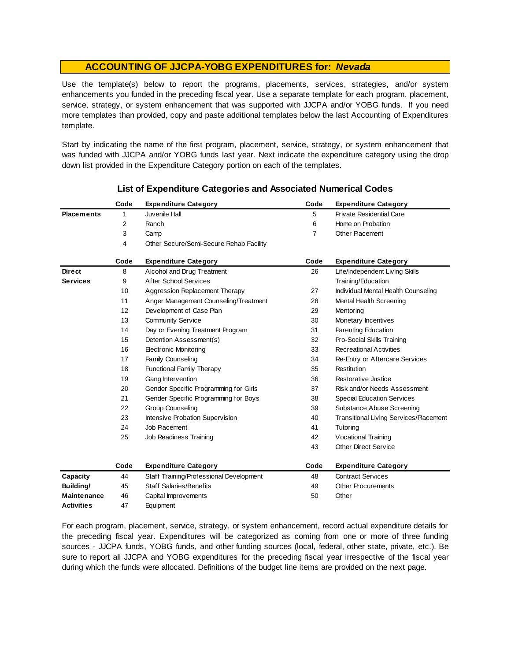Use the template(s) below to report the programs, placements, services, strategies, and/or system enhancements you funded in the preceding fiscal year. Use <sup>a</sup> separate template for each program, placement, service, strategy, or system enhancement that was supported with JJCPA and/or YOBG funds. If you need more templates than provided, copy and paste additional templates below the last Accounting of Expenditures template.

Start by indicating the name of the first program, placement, service, strategy, or system enhancement that was funded with JJCPA and/or YOBG funds last year. Next indicate the expenditure category using the drop down list provided in the Expenditure Category portion on each of the templates.

|                    | Code | <b>Expenditure Category</b>             | Code           | <b>Expenditure Category</b>                   |
|--------------------|------|-----------------------------------------|----------------|-----------------------------------------------|
| <b>Placements</b>  | 1    | Juvenile Hall                           | 5              | <b>Private Residential Care</b>               |
|                    | 2    | Ranch                                   | 6              | Home on Probation                             |
|                    | 3    | Camp                                    | $\overline{7}$ | Other Placement                               |
|                    | 4    | Other Secure/Semi-Secure Rehab Facility |                |                                               |
|                    | Code | <b>Expenditure Category</b>             | Code           | <b>Expenditure Category</b>                   |
| <b>Direct</b>      | 8    | Alcohol and Drug Treatment              | 26             | Life/Independent Living Skills                |
| <b>Services</b>    | 9    | <b>After School Services</b>            |                | Training/Education                            |
|                    | 10   | Aggression Replacement Therapy          | 27             | Individual Mental Health Counseling           |
|                    | 11   | Anger Management Counseling/Treatment   | 28             | Mental Health Screening                       |
|                    | 12   | Development of Case Plan                | 29             | Mentoring                                     |
|                    | 13   | <b>Community Service</b>                | 30             | Monetary Incentives                           |
|                    | 14   | Day or Evening Treatment Program        | 31             | Parenting Education                           |
|                    | 15   | Detention Assessment(s)                 | 32             | Pro-Social Skills Training                    |
|                    | 16   | <b>Electronic Monitoring</b>            | 33             | <b>Recreational Activities</b>                |
|                    | 17   | <b>Family Counseling</b>                | 34             | Re-Entry or Aftercare Services                |
|                    | 18   | <b>Functional Family Therapy</b>        | 35             | Restitution                                   |
|                    | 19   | Gang Intervention                       | 36             | Restorative Justice                           |
|                    | 20   | Gender Specific Programming for Girls   | 37             | Risk and/or Needs Assessment                  |
|                    | 21   | Gender Specific Programming for Boys    | 38             | <b>Special Education Services</b>             |
|                    | 22   | <b>Group Counseling</b>                 | 39             | Substance Abuse Screening                     |
|                    | 23   | Intensive Probation Supervision         | 40             | <b>Transitional Living Services/Placement</b> |
|                    | 24   | Job Placement                           | 41             | Tutoring                                      |
|                    | 25   | Job Readiness Training                  | 42             | Vocational Training                           |
|                    |      |                                         | 43             | <b>Other Direct Service</b>                   |
|                    | Code | <b>Expenditure Category</b>             | Code           | <b>Expenditure Category</b>                   |
| Capacity           | 44   | Staff Training/Professional Development | 48             | <b>Contract Services</b>                      |
| Building/          | 45   | <b>Staff Salaries/Benefits</b>          | 49             | <b>Other Procurements</b>                     |
| <b>Maintenance</b> | 46   | Capital Improvements                    | 50             | Other                                         |
| <b>Activities</b>  | 47   | Equipment                               |                |                                               |

### **List of Expenditure Categories and Associated Numerical Codes**

For each program, placement, service, strategy, or system enhancement, record actual expenditure details for the preceding fiscal year. Expenditures will be categorized as coming from one or more of three funding sources - JJCPA funds, YOBG funds, and other funding sources (local, federal, other state, private, etc.). Be sure to report all JJCPA and YOBG expenditures for the preceding fiscal year irrespective of the fiscal year during which the funds were allocated. Definitions of the budget line items are provided on the next page.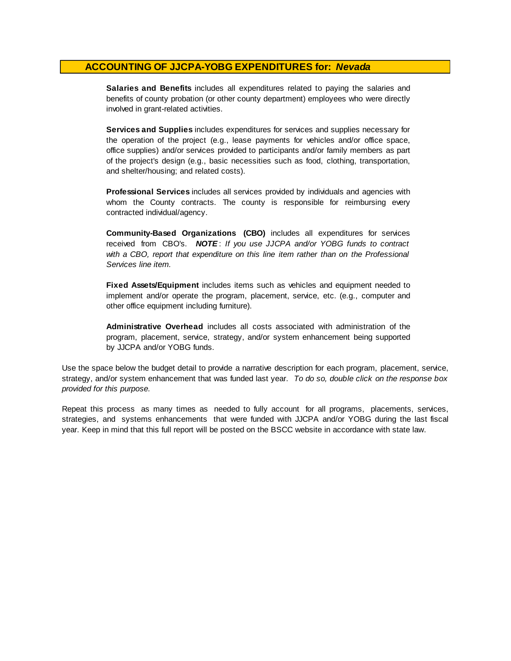**Salaries and Benefits** includes all expenditures related to paying the salaries and benefits of county probation (or other county department) employees who were directly involved in grant-related activities.

**Services and Supplies** includes expenditures for services and supplies necessary for the operation of the project (e.g., lease payments for vehicles and/or office space, office supplies) and/or services provided to participants and/or family members as part of the project's design (e.g., basic necessities such as food, clothing, transportation, and shelter/housing; and related costs).

**Professional Services** includes all services provided by individuals and agencies with whom the County contracts. The county is responsible for reimbursing every contracted individual/agency.

**Community-Based Organizations (CBO)** includes all expenditures for services received from CBO's. *NOTE* : *I f you use JJCPA and/or YOBG funds t o contract with <sup>a</sup> CBO, report that expenditure on this line item rather than on the Professional Services line item.*

**Fixed Assets/Equipment** includes items such as vehicles and equipment needed to implement and/or operate the program, placement, service, etc. (e.g., computer and other office equipment including furniture).

**Administrative Overhead** includes all costs associated with administration of the program, placement, service, strategy, and/or system enhancement being supported by JJCPA and/or YOBG funds.

Use the space below the budget detail to provide a narrative description for each program, placement, service, strategy, and/or system enhancement that was funded last year. *To do so, double click on the response box provided for this purpose.* 

Repeat this process as many times as needed to fully account for all programs, placements, services, strategies, and systems enhancements that were funded with JJCPA and/or YOBG during the last fiscal year. Keep in mind that this full report will be posted on the BSCC website in accordance with state law.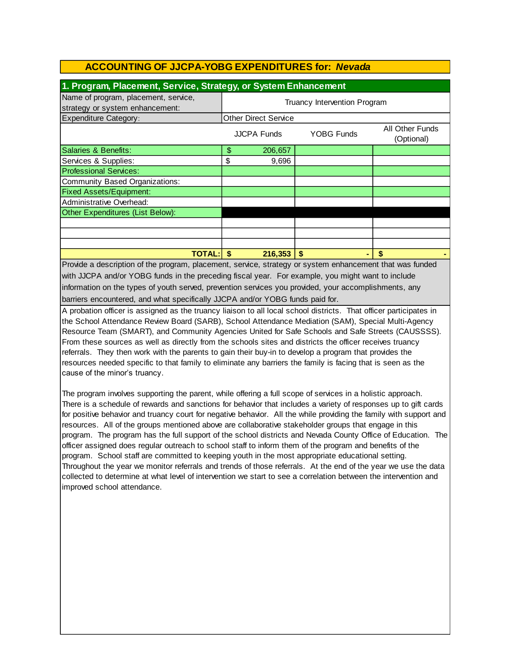| 1. Program, Placement, Service, Strategy, or System Enhancement         |                              |                    |            |                               |  |
|-------------------------------------------------------------------------|------------------------------|--------------------|------------|-------------------------------|--|
| Name of program, placement, service,<br>strategy or system enhancement: | Truancy Intervention Program |                    |            |                               |  |
| <b>Expenditure Category:</b>                                            | <b>Other Direct Service</b>  |                    |            |                               |  |
|                                                                         |                              | <b>JJCPA Funds</b> | YOBG Funds | All Other Funds<br>(Optional) |  |
| Salaries & Benefits:                                                    | \$                           | 206,657            |            |                               |  |
| Services & Supplies:                                                    | \$                           | 9,696              |            |                               |  |
| <b>Professional Services:</b>                                           |                              |                    |            |                               |  |
| Community Based Organizations:                                          |                              |                    |            |                               |  |
| <b>Fixed Assets/Equipment:</b>                                          |                              |                    |            |                               |  |
| Administrative Overhead:                                                |                              |                    |            |                               |  |
| Other Expenditures (List Below):                                        |                              |                    |            |                               |  |
|                                                                         |                              |                    |            |                               |  |
|                                                                         |                              |                    |            |                               |  |
|                                                                         |                              |                    |            |                               |  |
| <b>TOTAL:</b>                                                           | S                            | 216,353            | \$.        | S                             |  |

Provide a description of the program, placement, service, strategy or system enhancement that was funded with JJCPA and/or YOBG funds in the preceding fiscal year. For example, you might want to include information on the types of youth served, prevention services you provided, your accomplishments, any barriers encountered, and what specifically JJCPA and/or YOBG funds paid for.

A probation officer is assigned as the truancy liaison to all local school districts. That officer participates in the School Attendance Review Board (SARB), School Attendance Mediation (SAM), Special Multi-Agency Resource Team (SMART), and Community Agencies United for Safe Schools and Safe Streets (CAUSSSS). From these sources as well as directly from the schools sites and districts the officer receives truancy referrals. They then work with the parents to gain their buy-in to develop a program that provides the resources needed specific to that family to eliminate any barriers the family is facing that is seen as the cause of the minor's truancy.

The program involves supporting the parent, while offering a full scope of services in a holistic approach. There is a schedule of rewards and sanctions for behavior that includes a variety of responses up to gift cards for positive behavior and truancy court for negative behavior. All the while providing the family with support and resources. All of the groups mentioned above are collaborative stakeholder groups that engage in this program. The program has the full support of the school districts and Nevada County Office of Education. The officer assigned does regular outreach to school staff to inform them of the program and benefits of the program. School staff are committed to keeping youth in the most appropriate educational setting. Throughout the year we monitor referrals and trends of those referrals. At the end of the year we use the data collected to determine at what level of intervention we start to see a correlation between the intervention and improved school attendance.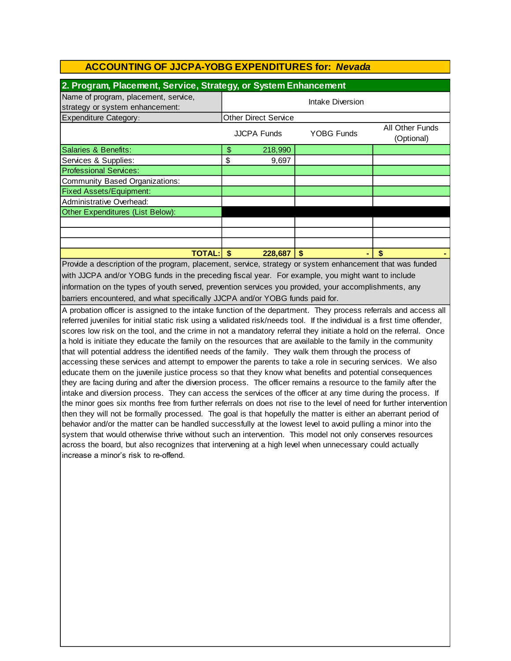| 2. Program, Placement, Service, Strategy, or System Enhancement                                                |                             |                    |            |                               |  |
|----------------------------------------------------------------------------------------------------------------|-----------------------------|--------------------|------------|-------------------------------|--|
| Name of program, placement, service,<br>strategy or system enhancement:                                        | Intake Diversion            |                    |            |                               |  |
| Expenditure Category:                                                                                          | <b>Other Direct Service</b> |                    |            |                               |  |
|                                                                                                                |                             | <b>JJCPA Funds</b> | YOBG Funds | All Other Funds<br>(Optional) |  |
| Salaries & Benefits:                                                                                           | \$                          | 218,990            |            |                               |  |
| Services & Supplies:                                                                                           | \$                          | 9,697              |            |                               |  |
| <b>Professional Services:</b>                                                                                  |                             |                    |            |                               |  |
| Community Based Organizations:                                                                                 |                             |                    |            |                               |  |
| <b>Fixed Assets/Equipment:</b>                                                                                 |                             |                    |            |                               |  |
| Administrative Overhead:                                                                                       |                             |                    |            |                               |  |
| Other Expenditures (List Below):                                                                               |                             |                    |            |                               |  |
|                                                                                                                |                             |                    |            |                               |  |
|                                                                                                                |                             |                    |            |                               |  |
|                                                                                                                |                             |                    |            |                               |  |
| <b>TOTAL: S</b>                                                                                                |                             | 228,687            | \$.        | \$.                           |  |
| <u>Provide</u> a description of the program, placement, sensice strategy or system ephanoement that was funded |                             |                    |            |                               |  |

barriers encountered, and what specifically JJCPA and/or YOBG funds paid for. Provide a description of the program, placement, service, strategy or system enhancement that was funded with JJCPA and/or YOBG funds in the preceding fiscal year. For example, you might want to include information on the types of youth served, prevention services you provided, your accomplishments, any

A probation officer is assigned to the intake function of the department. They process referrals and access all referred juveniles for initial static risk using a validated risk/needs tool. If the individual is a first time offender, scores low risk on the tool, and the crime in not a mandatory referral they initiate a hold on the referral. Once a hold is initiate they educate the family on the resources that are available to the family in the community that will potential address the identified needs of the family. They walk them through the process of accessing these services and attempt to empower the parents to take a role in securing services. We also educate them on the juvenile justice process so that they know what benefits and potential consequences they are facing during and after the diversion process. The officer remains a resource to the family after the intake and diversion process. They can access the services of the officer at any time during the process. If the minor goes six months free from further referrals on does not rise to the level of need for further intervention then they will not be formally processed. The goal is that hopefully the matter is either an aberrant period of behavior and/or the matter can be handled successfully at the lowest level to avoid pulling a minor into the system that would otherwise thrive without such an intervention. This model not only conserves resources across the board, but also recognizes that intervening at a high level when unnecessary could actually increase a minor's risk to re-offend.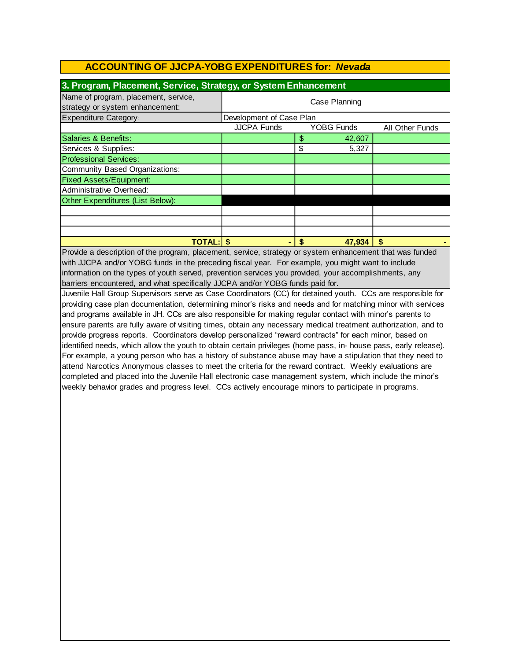| 3. Program, Placement, Service, Strategy, or System Enhancement         |                                                            |    |        |    |  |
|-------------------------------------------------------------------------|------------------------------------------------------------|----|--------|----|--|
| Name of program, placement, service,<br>strategy or system enhancement: | Case Planning                                              |    |        |    |  |
| <b>Expenditure Category:</b>                                            | Development of Case Plan                                   |    |        |    |  |
|                                                                         | <b>JJCPA Funds</b><br><b>YOBG Funds</b><br>All Other Funds |    |        |    |  |
| Salaries & Benefits:                                                    |                                                            | \$ | 42,607 |    |  |
| Services & Supplies:                                                    |                                                            | \$ | 5,327  |    |  |
| <b>Professional Services:</b>                                           |                                                            |    |        |    |  |
| Community Based Organizations:                                          |                                                            |    |        |    |  |
| <b>Fixed Assets/Equipment:</b>                                          |                                                            |    |        |    |  |
| Administrative Overhead:                                                |                                                            |    |        |    |  |
| Other Expenditures (List Below):                                        |                                                            |    |        |    |  |
|                                                                         |                                                            |    |        |    |  |
|                                                                         |                                                            |    |        |    |  |
|                                                                         |                                                            |    |        |    |  |
| <b>TOTAL:</b>                                                           |                                                            |    | 47,934 | \$ |  |

barriers encountered, and what specifically JJCPA and/or YOBG funds paid for. information on the types of youth served, prevention services you provided, your accomplishments, any Provide a description of the program, placement, service, strategy or system enhancement that was funded with JJCPA and/or YOBG funds in the preceding fiscal year. For example, you might want to include

Juvenile Hall Group Supervisors serve as Case Coordinators (CC) for detained youth. CCs are responsible for providing case plan documentation, determining minor's risks and needs and for matching minor with services and programs available in JH. CCs are also responsible for making regular contact with minor's parents to ensure parents are fully aware of visiting times, obtain any necessary medical treatment authorization, and to provide progress reports. Coordinators develop personalized "reward contracts" for each minor, based on identified needs, which allow the youth to obtain certain privileges (home pass, in- house pass, early release). For example, a young person who has a history of substance abuse may have a stipulation that they need to attend Narcotics Anonymous classes to meet the criteria for the reward contract. Weekly evaluations are completed and placed into the Juvenile Hall electronic case management system, which include the minor's weekly behavior grades and progress level. CCs actively encourage minors to participate in programs.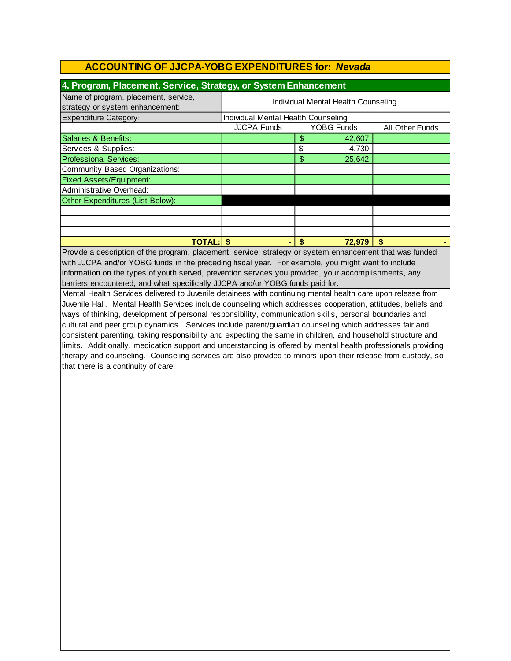| 4. Program, Placement, Service, Strategy, or System Enhancement         |                                     |    |                   |                        |  |  |
|-------------------------------------------------------------------------|-------------------------------------|----|-------------------|------------------------|--|--|
| Name of program, placement, service,<br>strategy or system enhancement: | Individual Mental Health Counseling |    |                   |                        |  |  |
| <b>Expenditure Category:</b>                                            | Individual Mental Health Counseling |    |                   |                        |  |  |
|                                                                         | <b>JJCPA Funds</b>                  |    | <b>YOBG Funds</b> | <b>All Other Funds</b> |  |  |
| Salaries & Benefits:                                                    |                                     | \$ | 42,607            |                        |  |  |
| Services & Supplies:                                                    |                                     | \$ | 4,730             |                        |  |  |
| <b>Professional Services:</b>                                           |                                     | \$ | 25,642            |                        |  |  |
| Community Based Organizations:                                          |                                     |    |                   |                        |  |  |
| <b>Fixed Assets/Equipment:</b>                                          |                                     |    |                   |                        |  |  |
| Administrative Overhead:                                                |                                     |    |                   |                        |  |  |
| Other Expenditures (List Below):                                        |                                     |    |                   |                        |  |  |
|                                                                         |                                     |    |                   |                        |  |  |
|                                                                         |                                     |    |                   |                        |  |  |
|                                                                         |                                     |    |                   |                        |  |  |
| <b>TOTAL: \$</b>                                                        |                                     |    | 72,979            | S                      |  |  |

Provide a description of the program, placement, service, strategy or system enhancement that was funded with JJCPA and/or YOBG funds in the preceding fiscal year. For example, you might want to include information on the types of youth served, prevention services you provided, your accomplishments, any barriers encountered, and what specifically JJCPA and/or YOBG funds paid for.

Mental Health Services delivered to Juvenile detainees with continuing mental health care upon release from Juvenile Hall. Mental Health Services include counseling which addresses cooperation, attitudes, beliefs and ways of thinking, development of personal responsibility, communication skills, personal boundaries and cultural and peer group dynamics. Services include parent/guardian counseling which addresses fair and consistent parenting, taking responsibility and expecting the same in children, and household structure and limits. Additionally, medication support and understanding is offered by mental health professionals providing therapy and counseling. Counseling services are also provided to minors upon their release from custody, so that there is a continuity of care.